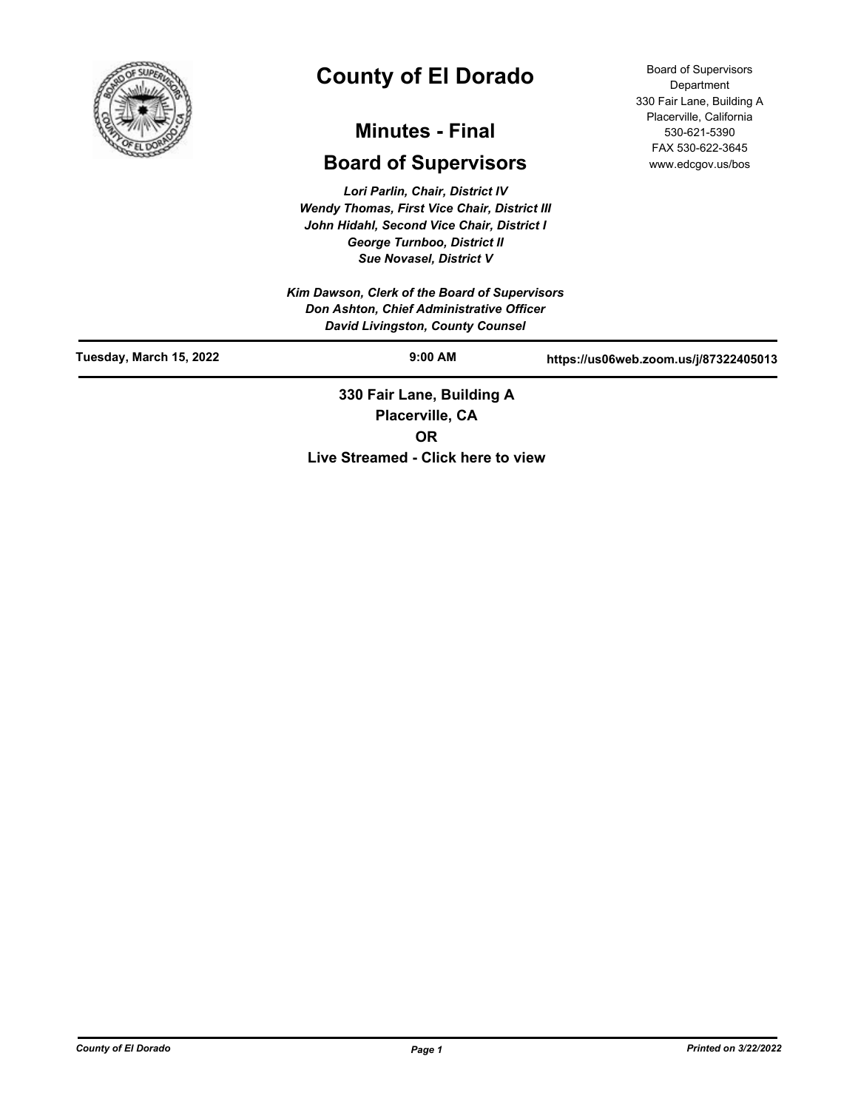

# **County of El Dorado**

## **Minutes - Final**

## **Board of Supervisors**

*Lori Parlin, Chair, District IV Wendy Thomas, First Vice Chair, District III John Hidahl, Second Vice Chair, District I George Turnboo, District II Sue Novasel, District V*

*Kim Dawson, Clerk of the Board of Supervisors Don Ashton, Chief Administrative Officer David Livingston, County Counsel*

Board of Supervisors Department 330 Fair Lane, Building A Placerville, California 530-621-5390 FAX 530-622-3645 www.edcgov.us/bos

| <b>David Elvingston, Obamy Obanscr</b> |                           |                                       |
|----------------------------------------|---------------------------|---------------------------------------|
| Tuesday, March 15, 2022                | $9:00$ AM                 | https://us06web.zoom.us/j/87322405013 |
|                                        | 330 Fair Lane, Building A |                                       |
|                                        | Placerville, CA           |                                       |

**OR**

**Live Streamed - Click here to view**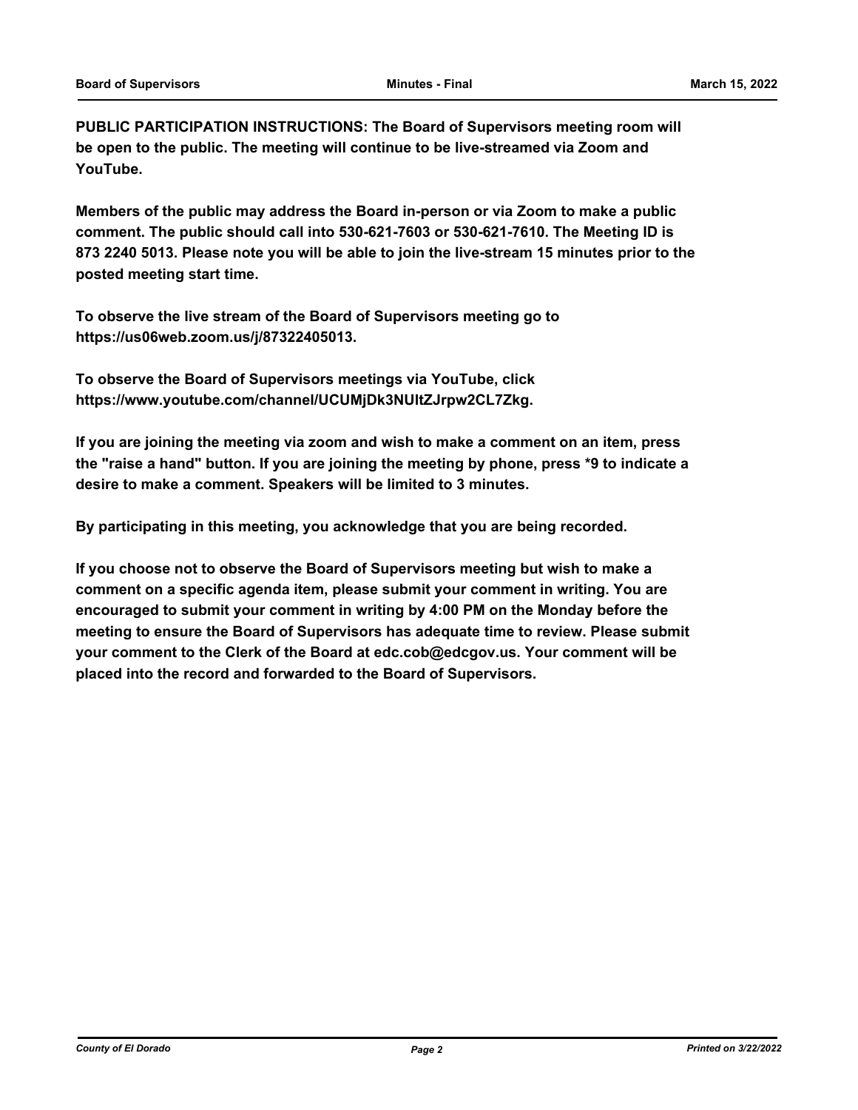**PUBLIC PARTICIPATION INSTRUCTIONS: The Board of Supervisors meeting room will be open to the public. The meeting will continue to be live-streamed via Zoom and YouTube.**

**Members of the public may address the Board in-person or via Zoom to make a public comment. The public should call into 530-621-7603 or 530-621-7610. The Meeting ID is 873 2240 5013. Please note you will be able to join the live-stream 15 minutes prior to the posted meeting start time.**

**To observe the live stream of the Board of Supervisors meeting go to https://us06web.zoom.us/j/87322405013.**

**To observe the Board of Supervisors meetings via YouTube, click https://www.youtube.com/channel/UCUMjDk3NUltZJrpw2CL7Zkg.**

**If you are joining the meeting via zoom and wish to make a comment on an item, press the "raise a hand" button. If you are joining the meeting by phone, press \*9 to indicate a desire to make a comment. Speakers will be limited to 3 minutes.**

**By participating in this meeting, you acknowledge that you are being recorded.**

**If you choose not to observe the Board of Supervisors meeting but wish to make a comment on a specific agenda item, please submit your comment in writing. You are encouraged to submit your comment in writing by 4:00 PM on the Monday before the meeting to ensure the Board of Supervisors has adequate time to review. Please submit your comment to the Clerk of the Board at edc.cob@edcgov.us. Your comment will be placed into the record and forwarded to the Board of Supervisors.**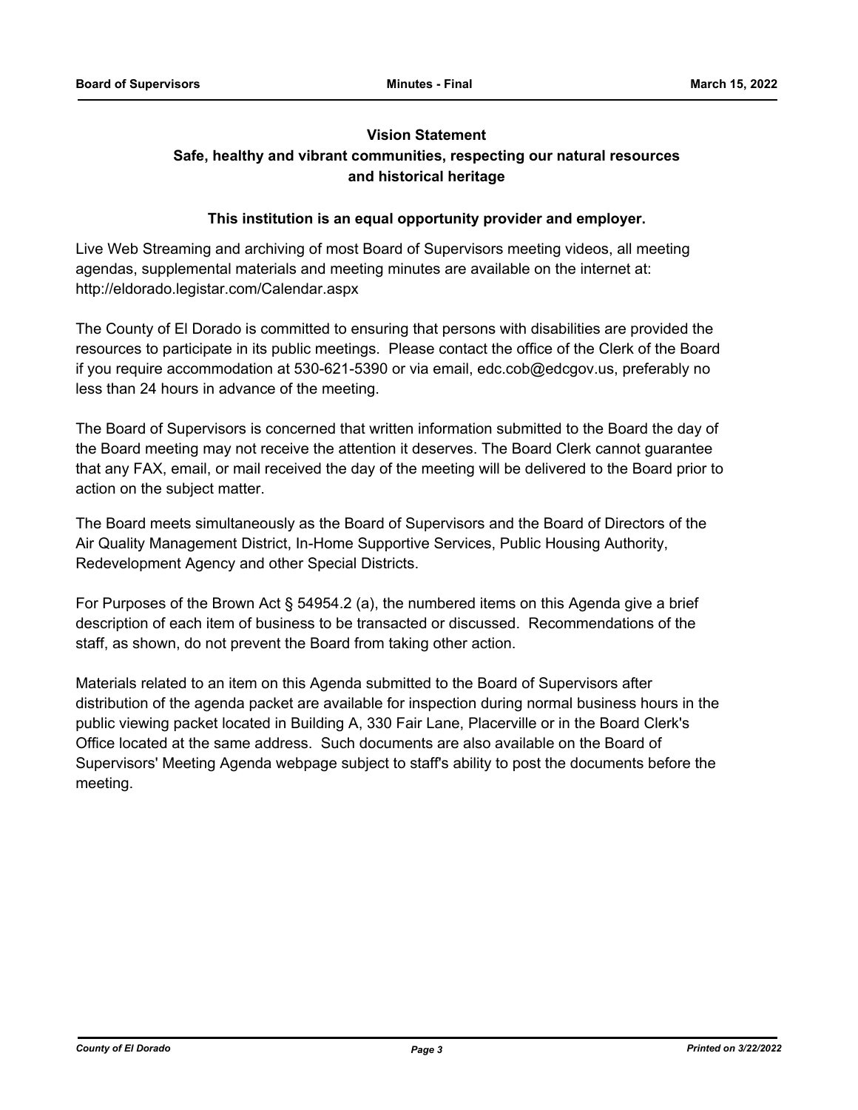### **Vision Statement**

### **Safe, healthy and vibrant communities, respecting our natural resources and historical heritage**

#### **This institution is an equal opportunity provider and employer.**

Live Web Streaming and archiving of most Board of Supervisors meeting videos, all meeting agendas, supplemental materials and meeting minutes are available on the internet at: http://eldorado.legistar.com/Calendar.aspx

The County of El Dorado is committed to ensuring that persons with disabilities are provided the resources to participate in its public meetings. Please contact the office of the Clerk of the Board if you require accommodation at 530-621-5390 or via email, edc.cob@edcgov.us, preferably no less than 24 hours in advance of the meeting.

The Board of Supervisors is concerned that written information submitted to the Board the day of the Board meeting may not receive the attention it deserves. The Board Clerk cannot guarantee that any FAX, email, or mail received the day of the meeting will be delivered to the Board prior to action on the subject matter.

The Board meets simultaneously as the Board of Supervisors and the Board of Directors of the Air Quality Management District, In-Home Supportive Services, Public Housing Authority, Redevelopment Agency and other Special Districts.

For Purposes of the Brown Act § 54954.2 (a), the numbered items on this Agenda give a brief description of each item of business to be transacted or discussed. Recommendations of the staff, as shown, do not prevent the Board from taking other action.

Materials related to an item on this Agenda submitted to the Board of Supervisors after distribution of the agenda packet are available for inspection during normal business hours in the public viewing packet located in Building A, 330 Fair Lane, Placerville or in the Board Clerk's Office located at the same address. Such documents are also available on the Board of Supervisors' Meeting Agenda webpage subject to staff's ability to post the documents before the meeting.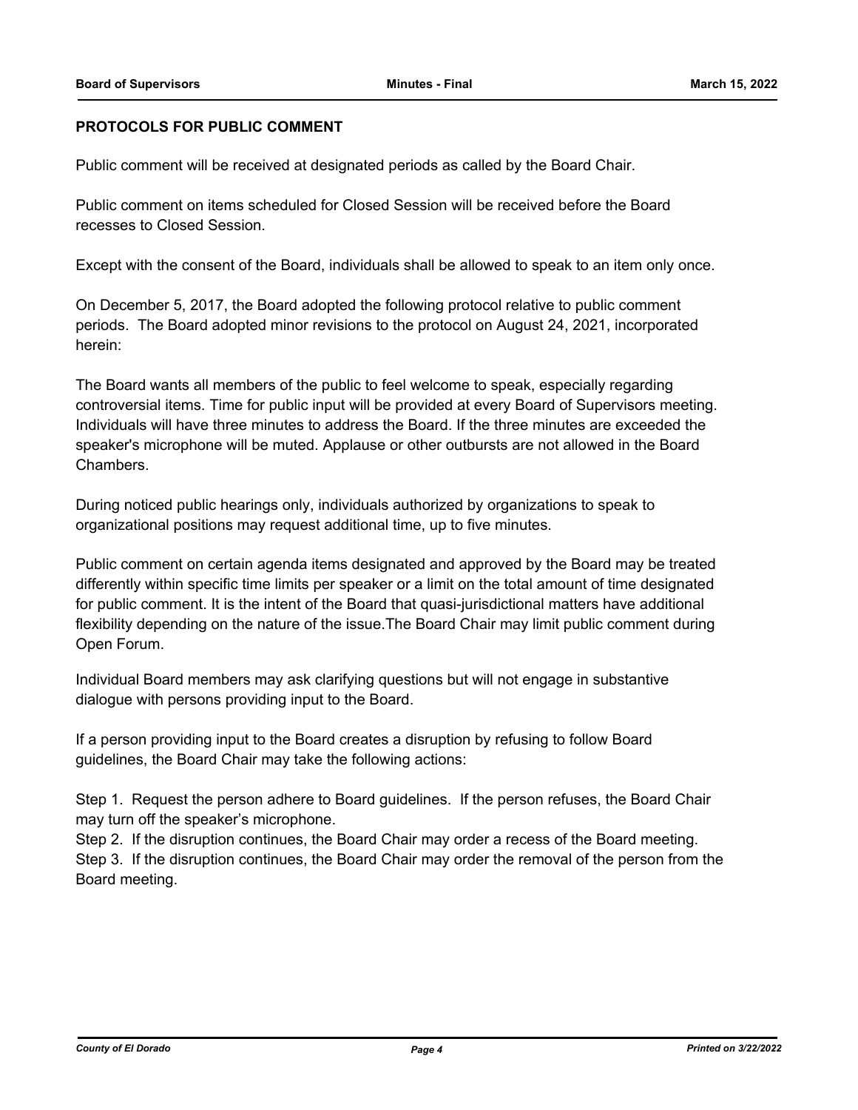### **PROTOCOLS FOR PUBLIC COMMENT**

Public comment will be received at designated periods as called by the Board Chair.

Public comment on items scheduled for Closed Session will be received before the Board recesses to Closed Session.

Except with the consent of the Board, individuals shall be allowed to speak to an item only once.

On December 5, 2017, the Board adopted the following protocol relative to public comment periods. The Board adopted minor revisions to the protocol on August 24, 2021, incorporated herein:

The Board wants all members of the public to feel welcome to speak, especially regarding controversial items. Time for public input will be provided at every Board of Supervisors meeting. Individuals will have three minutes to address the Board. If the three minutes are exceeded the speaker's microphone will be muted. Applause or other outbursts are not allowed in the Board Chambers.

During noticed public hearings only, individuals authorized by organizations to speak to organizational positions may request additional time, up to five minutes.

Public comment on certain agenda items designated and approved by the Board may be treated differently within specific time limits per speaker or a limit on the total amount of time designated for public comment. It is the intent of the Board that quasi-jurisdictional matters have additional flexibility depending on the nature of the issue.The Board Chair may limit public comment during Open Forum.

Individual Board members may ask clarifying questions but will not engage in substantive dialogue with persons providing input to the Board.

If a person providing input to the Board creates a disruption by refusing to follow Board guidelines, the Board Chair may take the following actions:

Step 1. Request the person adhere to Board guidelines. If the person refuses, the Board Chair may turn off the speaker's microphone.

Step 2. If the disruption continues, the Board Chair may order a recess of the Board meeting. Step 3. If the disruption continues, the Board Chair may order the removal of the person from the Board meeting.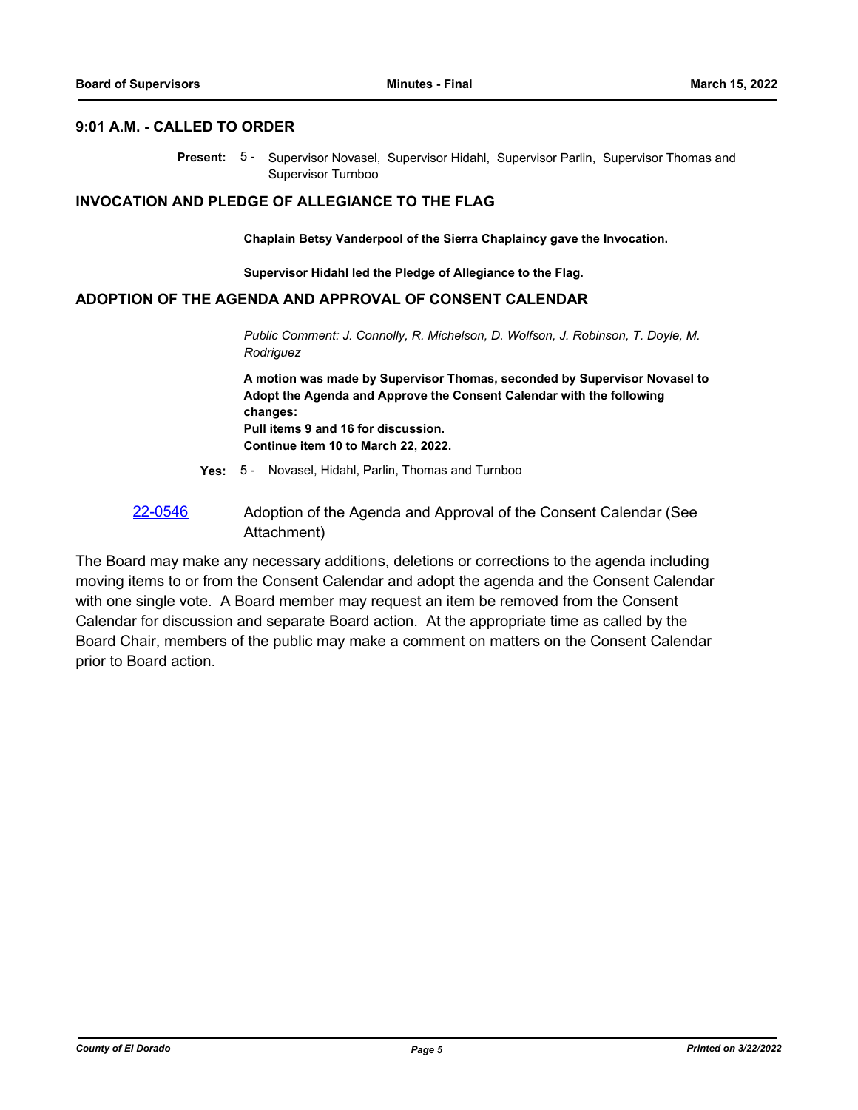#### **9:01 A.M. - CALLED TO ORDER**

Present: 5- Supervisor Novasel, Supervisor Hidahl, Supervisor Parlin, Supervisor Thomas and Supervisor Turnboo

#### **INVOCATION AND PLEDGE OF ALLEGIANCE TO THE FLAG**

**Chaplain Betsy Vanderpool of the Sierra Chaplaincy gave the Invocation.**

**Supervisor Hidahl led the Pledge of Allegiance to the Flag.**

#### **ADOPTION OF THE AGENDA AND APPROVAL OF CONSENT CALENDAR**

*Public Comment: J. Connolly, R. Michelson, D. Wolfson, J. Robinson, T. Doyle, M. Rodriguez*

**A motion was made by Supervisor Thomas, seconded by Supervisor Novasel to Adopt the Agenda and Approve the Consent Calendar with the following changes: Pull items 9 and 16 for discussion. Continue item 10 to March 22, 2022.**

- **Yes:** 5 Novasel, Hidahl, Parlin, Thomas and Turnboo
- [22-0546](http://eldorado.legistar.com/gateway.aspx?m=l&id=/matter.aspx?key=31447) Adoption of the Agenda and Approval of the Consent Calendar (See Attachment)

The Board may make any necessary additions, deletions or corrections to the agenda including moving items to or from the Consent Calendar and adopt the agenda and the Consent Calendar with one single vote. A Board member may request an item be removed from the Consent Calendar for discussion and separate Board action. At the appropriate time as called by the Board Chair, members of the public may make a comment on matters on the Consent Calendar prior to Board action.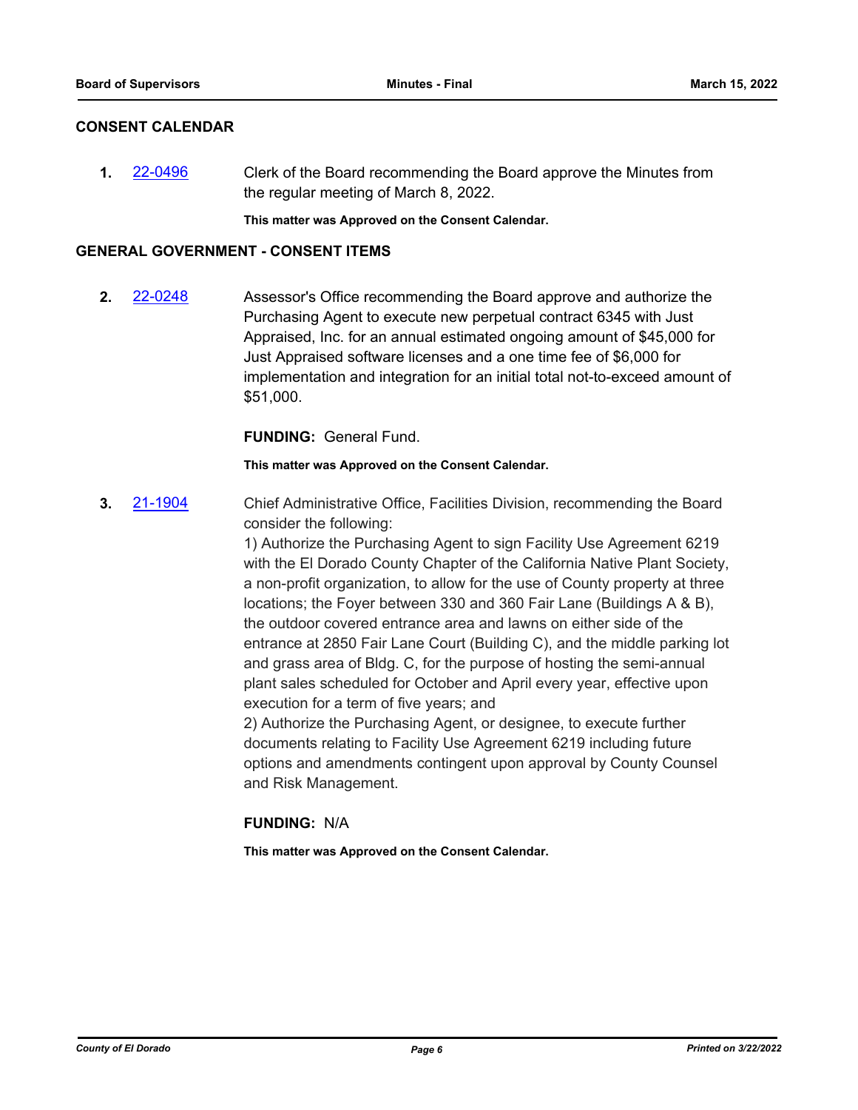#### **CONSENT CALENDAR**

**1.** [22-0496](http://eldorado.legistar.com/gateway.aspx?m=l&id=/matter.aspx?key=31397) Clerk of the Board recommending the Board approve the Minutes from the regular meeting of March 8, 2022.

**This matter was Approved on the Consent Calendar.**

#### **GENERAL GOVERNMENT - CONSENT ITEMS**

**2.** [22-0248](http://eldorado.legistar.com/gateway.aspx?m=l&id=/matter.aspx?key=31149) Assessor's Office recommending the Board approve and authorize the Purchasing Agent to execute new perpetual contract 6345 with Just Appraised, Inc. for an annual estimated ongoing amount of \$45,000 for Just Appraised software licenses and a one time fee of \$6,000 for implementation and integration for an initial total not-to-exceed amount of \$51,000.

**FUNDING:** General Fund.

**This matter was Approved on the Consent Calendar.**

**3.** [21-1904](http://eldorado.legistar.com/gateway.aspx?m=l&id=/matter.aspx?key=30800) Chief Administrative Office, Facilities Division, recommending the Board consider the following:

> 1) Authorize the Purchasing Agent to sign Facility Use Agreement 6219 with the El Dorado County Chapter of the California Native Plant Society, a non-profit organization, to allow for the use of County property at three locations; the Foyer between 330 and 360 Fair Lane (Buildings A & B), the outdoor covered entrance area and lawns on either side of the entrance at 2850 Fair Lane Court (Building C), and the middle parking lot and grass area of Bldg. C, for the purpose of hosting the semi-annual plant sales scheduled for October and April every year, effective upon execution for a term of five years; and

2) Authorize the Purchasing Agent, or designee, to execute further documents relating to Facility Use Agreement 6219 including future options and amendments contingent upon approval by County Counsel and Risk Management.

### **FUNDING:** N/A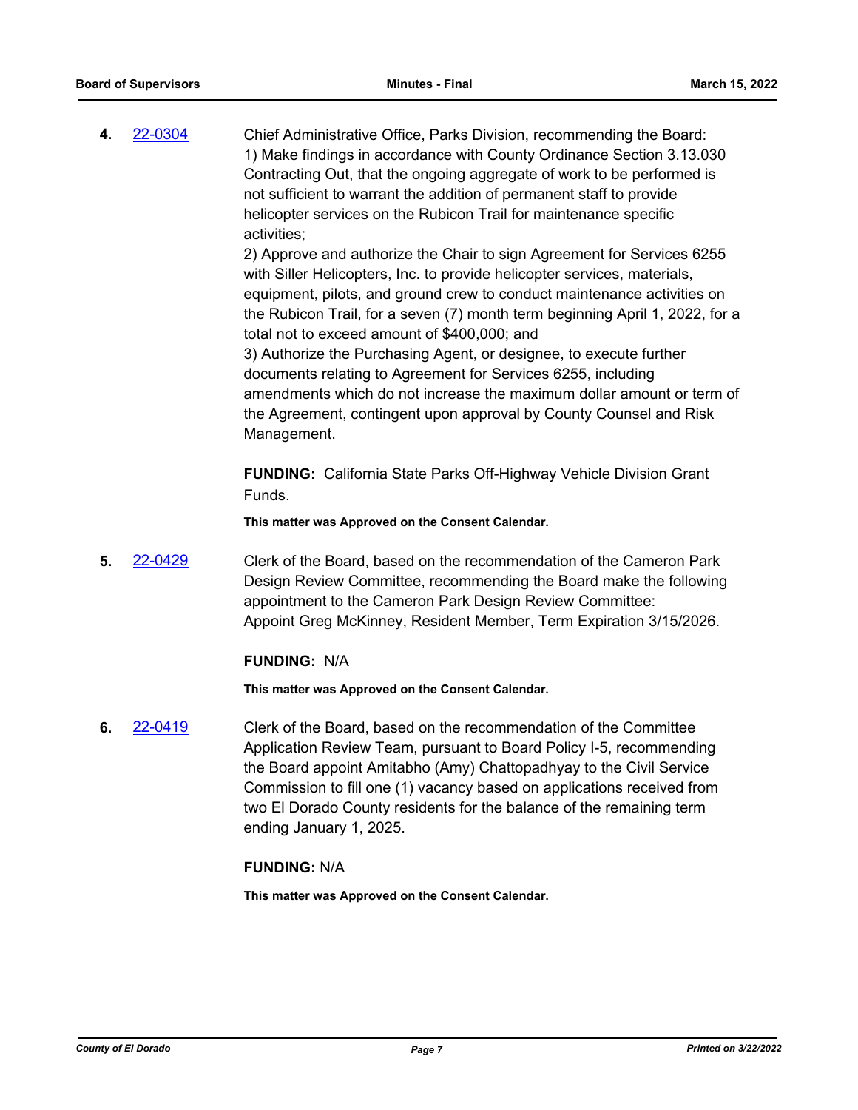**4.** [22-0304](http://eldorado.legistar.com/gateway.aspx?m=l&id=/matter.aspx?key=31205) Chief Administrative Office, Parks Division, recommending the Board: 1) Make findings in accordance with County Ordinance Section 3.13.030 Contracting Out, that the ongoing aggregate of work to be performed is not sufficient to warrant the addition of permanent staff to provide helicopter services on the Rubicon Trail for maintenance specific activities;

> 2) Approve and authorize the Chair to sign Agreement for Services 6255 with Siller Helicopters, Inc. to provide helicopter services, materials, equipment, pilots, and ground crew to conduct maintenance activities on the Rubicon Trail, for a seven (7) month term beginning April 1, 2022, for a total not to exceed amount of \$400,000; and

> 3) Authorize the Purchasing Agent, or designee, to execute further documents relating to Agreement for Services 6255, including amendments which do not increase the maximum dollar amount or term of the Agreement, contingent upon approval by County Counsel and Risk Management.

**FUNDING:** California State Parks Off-Highway Vehicle Division Grant Funds.

**This matter was Approved on the Consent Calendar.**

**5.** [22-0429](http://eldorado.legistar.com/gateway.aspx?m=l&id=/matter.aspx?key=31330) Clerk of the Board, based on the recommendation of the Cameron Park Design Review Committee, recommending the Board make the following appointment to the Cameron Park Design Review Committee: Appoint Greg McKinney, Resident Member, Term Expiration 3/15/2026.

#### **FUNDING:** N/A

**This matter was Approved on the Consent Calendar.**

**6.** [22-0419](http://eldorado.legistar.com/gateway.aspx?m=l&id=/matter.aspx?key=31320) Clerk of the Board, based on the recommendation of the Committee Application Review Team, pursuant to Board Policy I-5, recommending the Board appoint Amitabho (Amy) Chattopadhyay to the Civil Service Commission to fill one (1) vacancy based on applications received from two El Dorado County residents for the balance of the remaining term ending January 1, 2025.

### **FUNDING:** N/A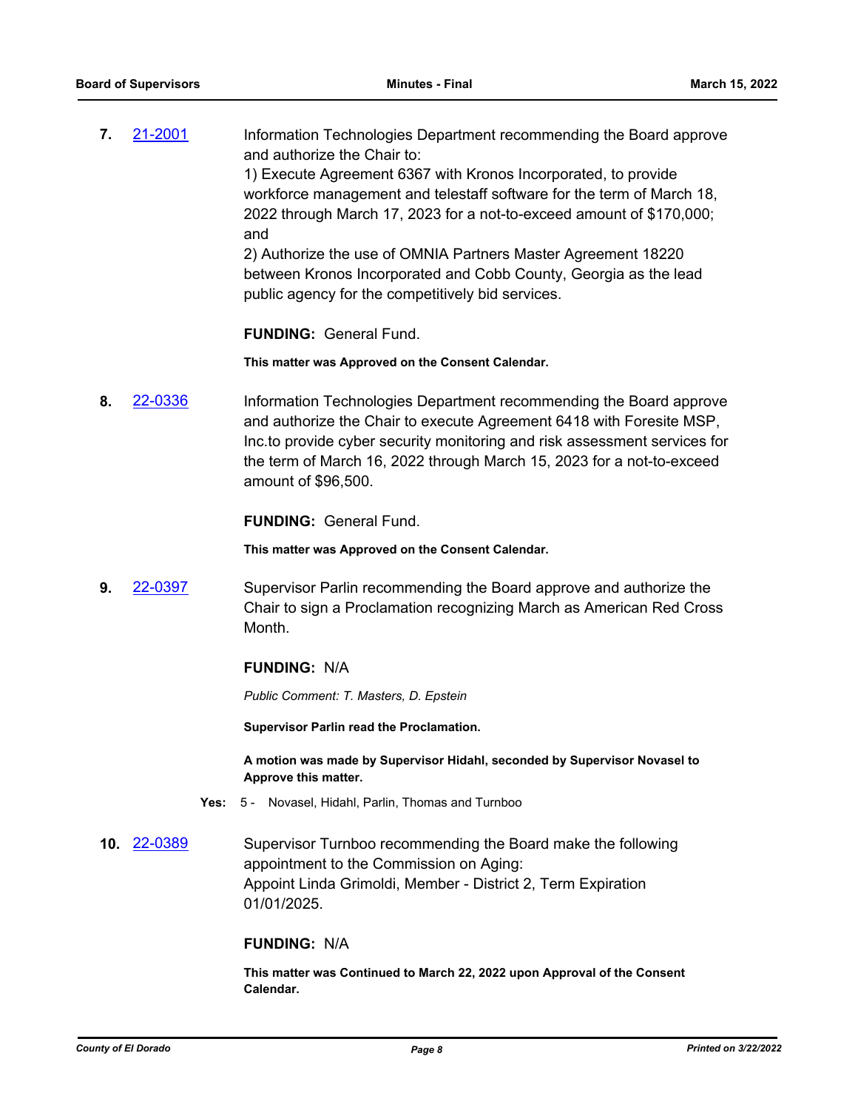**7. [21-2001](http://eldorado.legistar.com/gateway.aspx?m=l&id=/matter.aspx?key=30898)** Information Technologies Department recommending the Board approve and authorize the Chair to: 1) Execute Agreement 6367 with Kronos Incorporated, to provide workforce management and telestaff software for the term of March 18, 2022 through March 17, 2023 for a not-to-exceed amount of \$170,000; and 2) Authorize the use of OMNIA Partners Master Agreement 18220

between Kronos Incorporated and Cobb County, Georgia as the lead public agency for the competitively bid services.

**FUNDING:** General Fund.

**This matter was Approved on the Consent Calendar.**

**8.** [22-0336](http://eldorado.legistar.com/gateway.aspx?m=l&id=/matter.aspx?key=31237) Information Technologies Department recommending the Board approve and authorize the Chair to execute Agreement 6418 with Foresite MSP, Inc.to provide cyber security monitoring and risk assessment services for the term of March 16, 2022 through March 15, 2023 for a not-to-exceed amount of \$96,500.

**FUNDING:** General Fund.

**This matter was Approved on the Consent Calendar.**

**9.** [22-0397](http://eldorado.legistar.com/gateway.aspx?m=l&id=/matter.aspx?key=31298) Supervisor Parlin recommending the Board approve and authorize the Chair to sign a Proclamation recognizing March as American Red Cross Month.

### **FUNDING:** N/A

*Public Comment: T. Masters, D. Epstein*

**Supervisor Parlin read the Proclamation.**

**A motion was made by Supervisor Hidahl, seconded by Supervisor Novasel to Approve this matter.**

- **Yes:** 5 Novasel, Hidahl, Parlin, Thomas and Turnboo
- **10.** [22-0389](http://eldorado.legistar.com/gateway.aspx?m=l&id=/matter.aspx?key=31290) Supervisor Turnboo recommending the Board make the following appointment to the Commission on Aging: Appoint Linda Grimoldi, Member - District 2, Term Expiration 01/01/2025.

#### **FUNDING:** N/A

**This matter was Continued to March 22, 2022 upon Approval of the Consent Calendar.**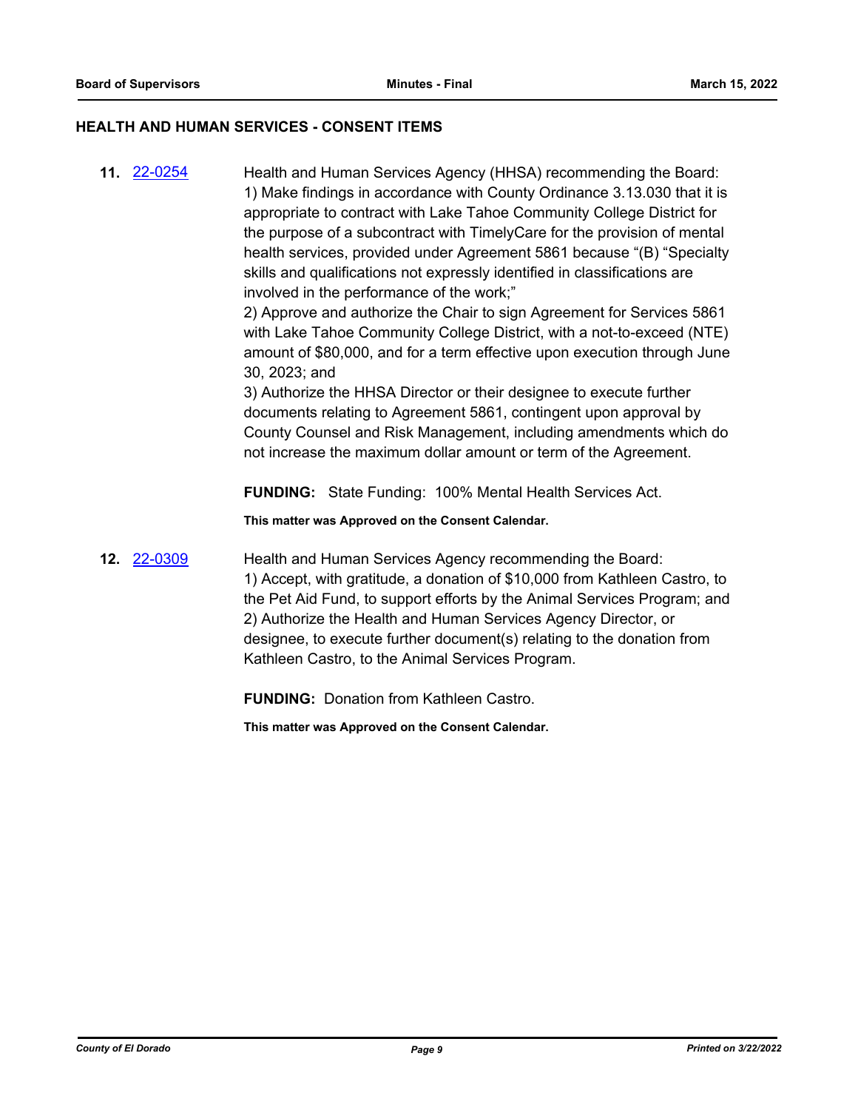#### **HEALTH AND HUMAN SERVICES - CONSENT ITEMS**

**11.** [22-0254](http://eldorado.legistar.com/gateway.aspx?m=l&id=/matter.aspx?key=31155) Health and Human Services Agency (HHSA) recommending the Board: 1) Make findings in accordance with County Ordinance 3.13.030 that it is appropriate to contract with Lake Tahoe Community College District for the purpose of a subcontract with TimelyCare for the provision of mental health services, provided under Agreement 5861 because "(B) "Specialty skills and qualifications not expressly identified in classifications are involved in the performance of the work;"

> 2) Approve and authorize the Chair to sign Agreement for Services 5861 with Lake Tahoe Community College District, with a not-to-exceed (NTE) amount of \$80,000, and for a term effective upon execution through June 30, 2023; and

> 3) Authorize the HHSA Director or their designee to execute further documents relating to Agreement 5861, contingent upon approval by County Counsel and Risk Management, including amendments which do not increase the maximum dollar amount or term of the Agreement.

**FUNDING:** State Funding: 100% Mental Health Services Act.

**This matter was Approved on the Consent Calendar.**

**12.** [22-0309](http://eldorado.legistar.com/gateway.aspx?m=l&id=/matter.aspx?key=31210) Health and Human Services Agency recommending the Board: 1) Accept, with gratitude, a donation of \$10,000 from Kathleen Castro, to the Pet Aid Fund, to support efforts by the Animal Services Program; and 2) Authorize the Health and Human Services Agency Director, or designee, to execute further document(s) relating to the donation from Kathleen Castro, to the Animal Services Program.

**FUNDING:** Donation from Kathleen Castro.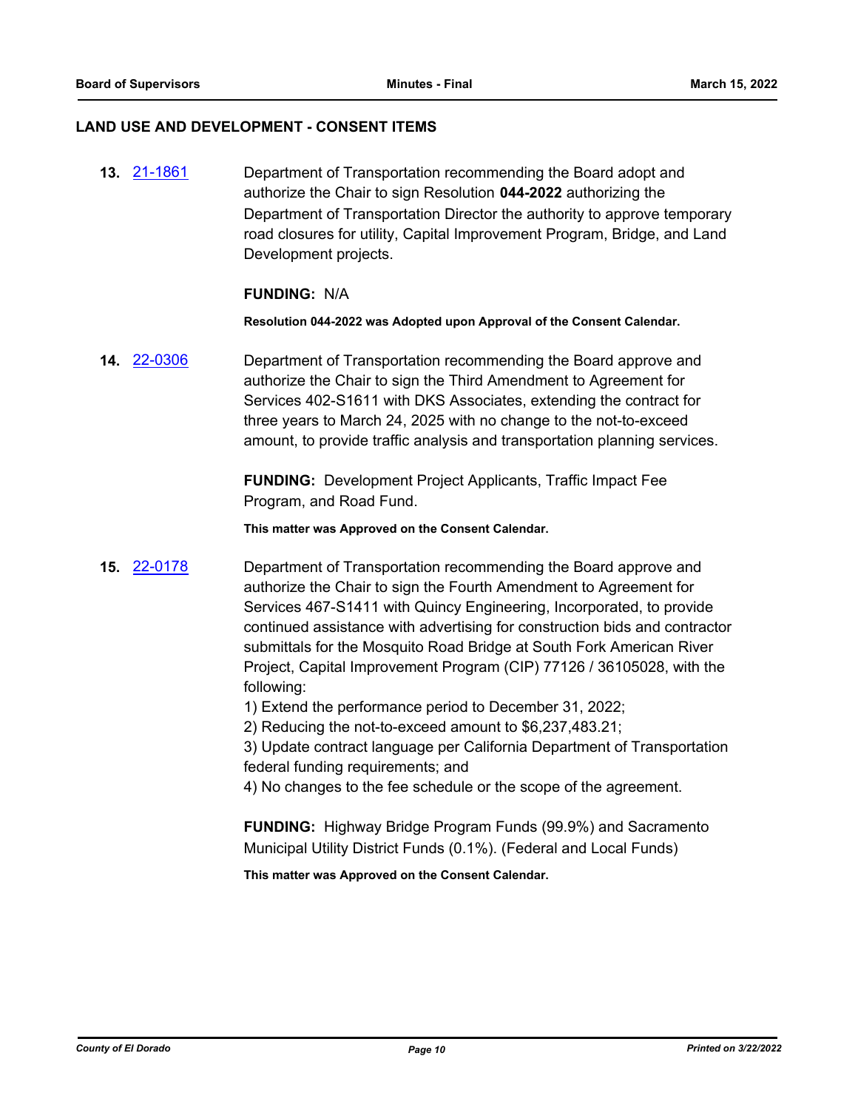#### **LAND USE AND DEVELOPMENT - CONSENT ITEMS**

**13.** [21-1861](http://eldorado.legistar.com/gateway.aspx?m=l&id=/matter.aspx?key=30757) Department of Transportation recommending the Board adopt and authorize the Chair to sign Resolution **044-2022** authorizing the Department of Transportation Director the authority to approve temporary road closures for utility, Capital Improvement Program, Bridge, and Land Development projects.

#### **FUNDING:** N/A

**Resolution 044-2022 was Adopted upon Approval of the Consent Calendar.**

**14.** [22-0306](http://eldorado.legistar.com/gateway.aspx?m=l&id=/matter.aspx?key=31207) Department of Transportation recommending the Board approve and authorize the Chair to sign the Third Amendment to Agreement for Services 402-S1611 with DKS Associates, extending the contract for three years to March 24, 2025 with no change to the not-to-exceed amount, to provide traffic analysis and transportation planning services.

> **FUNDING:** Development Project Applicants, Traffic Impact Fee Program, and Road Fund.

**This matter was Approved on the Consent Calendar.**

**15.** [22-0178](http://eldorado.legistar.com/gateway.aspx?m=l&id=/matter.aspx?key=31079) Department of Transportation recommending the Board approve and authorize the Chair to sign the Fourth Amendment to Agreement for Services 467-S1411 with Quincy Engineering, Incorporated, to provide continued assistance with advertising for construction bids and contractor submittals for the Mosquito Road Bridge at South Fork American River Project, Capital Improvement Program (CIP) 77126 / 36105028, with the following:

1) Extend the performance period to December 31, 2022;

2) Reducing the not-to-exceed amount to \$6,237,483.21;

3) Update contract language per California Department of Transportation federal funding requirements; and

4) No changes to the fee schedule or the scope of the agreement.

**FUNDING:** Highway Bridge Program Funds (99.9%) and Sacramento Municipal Utility District Funds (0.1%). (Federal and Local Funds)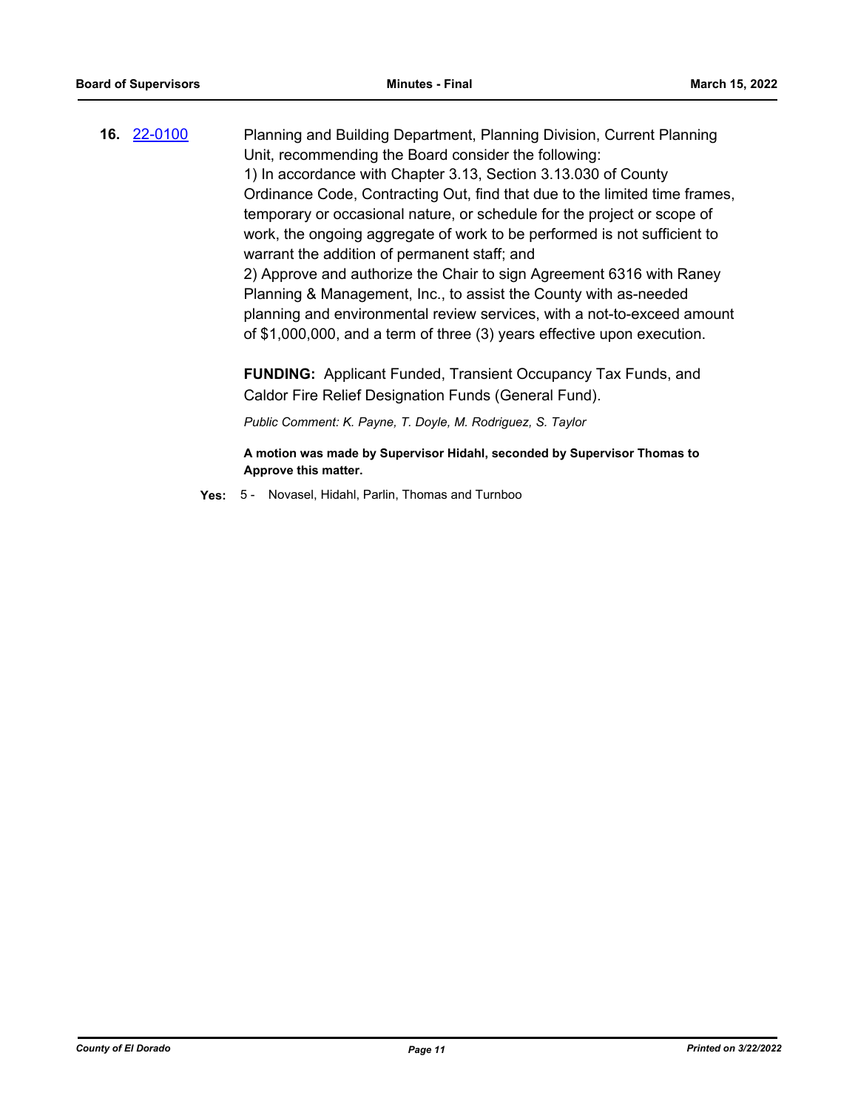**16.** [22-0100](http://eldorado.legistar.com/gateway.aspx?m=l&id=/matter.aspx?key=31000) Planning and Building Department, Planning Division, Current Planning Unit, recommending the Board consider the following: 1) In accordance with Chapter 3.13, Section 3.13.030 of County Ordinance Code, Contracting Out, find that due to the limited time frames, temporary or occasional nature, or schedule for the project or scope of work, the ongoing aggregate of work to be performed is not sufficient to warrant the addition of permanent staff; and 2) Approve and authorize the Chair to sign Agreement 6316 with Raney Planning & Management, Inc., to assist the County with as-needed planning and environmental review services, with a not-to-exceed amount of \$1,000,000, and a term of three (3) years effective upon execution.

**FUNDING:** Applicant Funded, Transient Occupancy Tax Funds, and Caldor Fire Relief Designation Funds (General Fund).

*Public Comment: K. Payne, T. Doyle, M. Rodriguez, S. Taylor*

**A motion was made by Supervisor Hidahl, seconded by Supervisor Thomas to Approve this matter.**

**Yes:** 5 - Novasel, Hidahl, Parlin, Thomas and Turnboo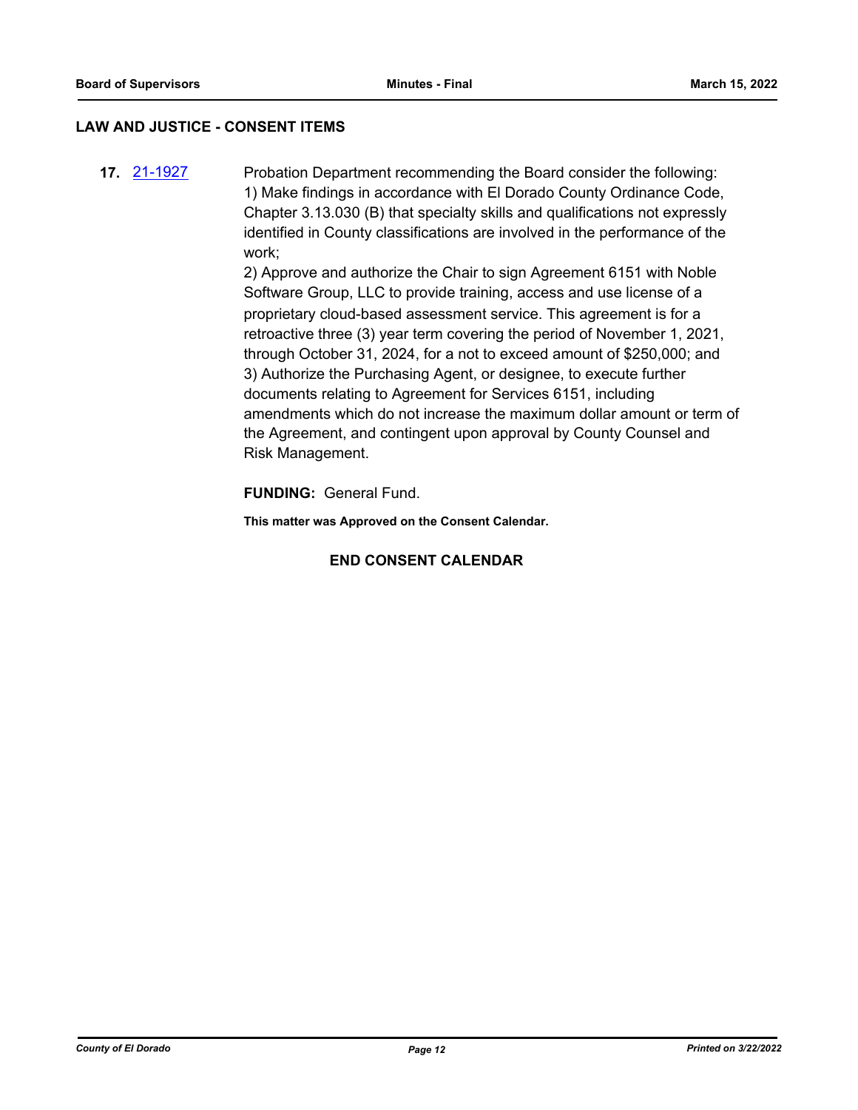#### **LAW AND JUSTICE - CONSENT ITEMS**

**17.** [21-1927](http://eldorado.legistar.com/gateway.aspx?m=l&id=/matter.aspx?key=30823) Probation Department recommending the Board consider the following: 1) Make findings in accordance with El Dorado County Ordinance Code, Chapter 3.13.030 (B) that specialty skills and qualifications not expressly identified in County classifications are involved in the performance of the work;

> 2) Approve and authorize the Chair to sign Agreement 6151 with Noble Software Group, LLC to provide training, access and use license of a proprietary cloud-based assessment service. This agreement is for a retroactive three (3) year term covering the period of November 1, 2021, through October 31, 2024, for a not to exceed amount of \$250,000; and 3) Authorize the Purchasing Agent, or designee, to execute further documents relating to Agreement for Services 6151, including amendments which do not increase the maximum dollar amount or term of the Agreement, and contingent upon approval by County Counsel and Risk Management.

**FUNDING:** General Fund.

**This matter was Approved on the Consent Calendar.**

### **END CONSENT CALENDAR**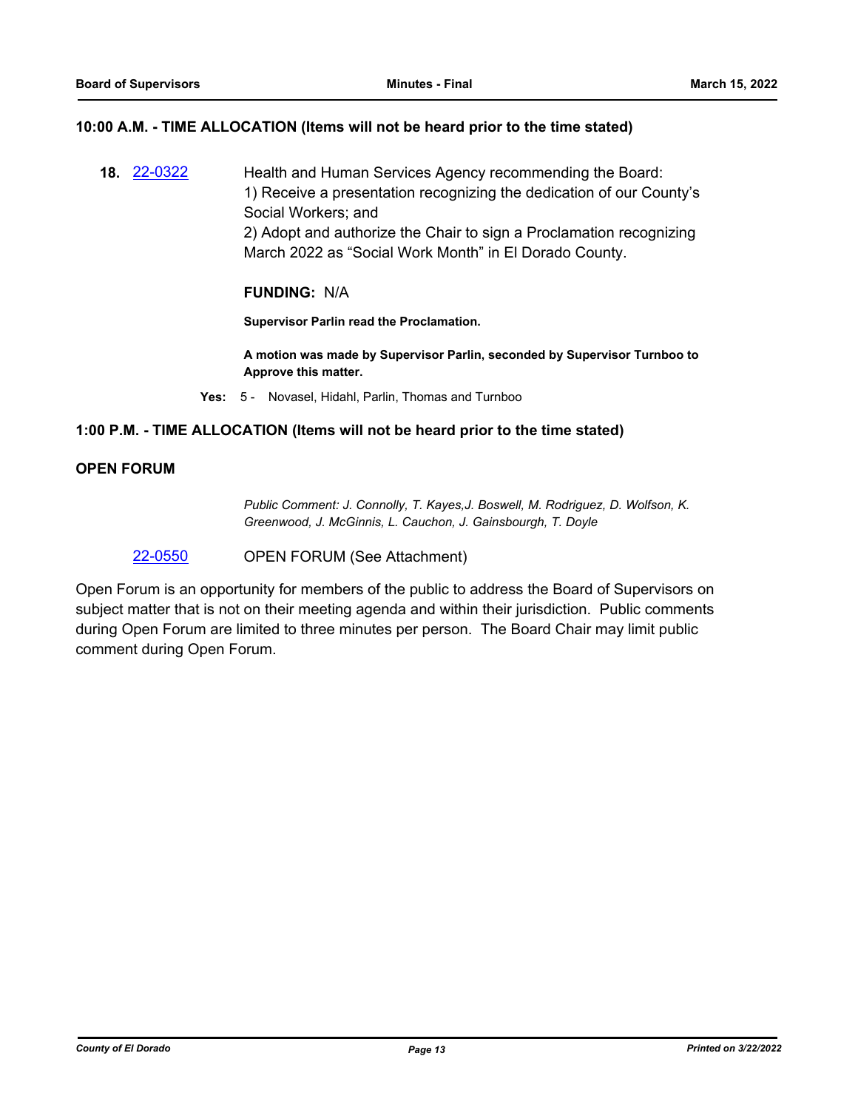#### **10:00 A.M. - TIME ALLOCATION (Items will not be heard prior to the time stated)**

**18.** [22-0322](http://eldorado.legistar.com/gateway.aspx?m=l&id=/matter.aspx?key=31223) Health and Human Services Agency recommending the Board: 1) Receive a presentation recognizing the dedication of our County's Social Workers; and 2) Adopt and authorize the Chair to sign a Proclamation recognizing March 2022 as "Social Work Month" in El Dorado County.

#### **FUNDING:** N/A

**Supervisor Parlin read the Proclamation.**

**A motion was made by Supervisor Parlin, seconded by Supervisor Turnboo to Approve this matter.**

**Yes:** 5 - Novasel, Hidahl, Parlin, Thomas and Turnboo

#### **1:00 P.M. - TIME ALLOCATION (Items will not be heard prior to the time stated)**

#### **OPEN FORUM**

*Public Comment: J. Connolly, T. Kayes,J. Boswell, M. Rodriguez, D. Wolfson, K. Greenwood, J. McGinnis, L. Cauchon, J. Gainsbourgh, T. Doyle*

[22-0550](http://eldorado.legistar.com/gateway.aspx?m=l&id=/matter.aspx?key=31451) OPEN FORUM (See Attachment)

Open Forum is an opportunity for members of the public to address the Board of Supervisors on subject matter that is not on their meeting agenda and within their jurisdiction. Public comments during Open Forum are limited to three minutes per person. The Board Chair may limit public comment during Open Forum.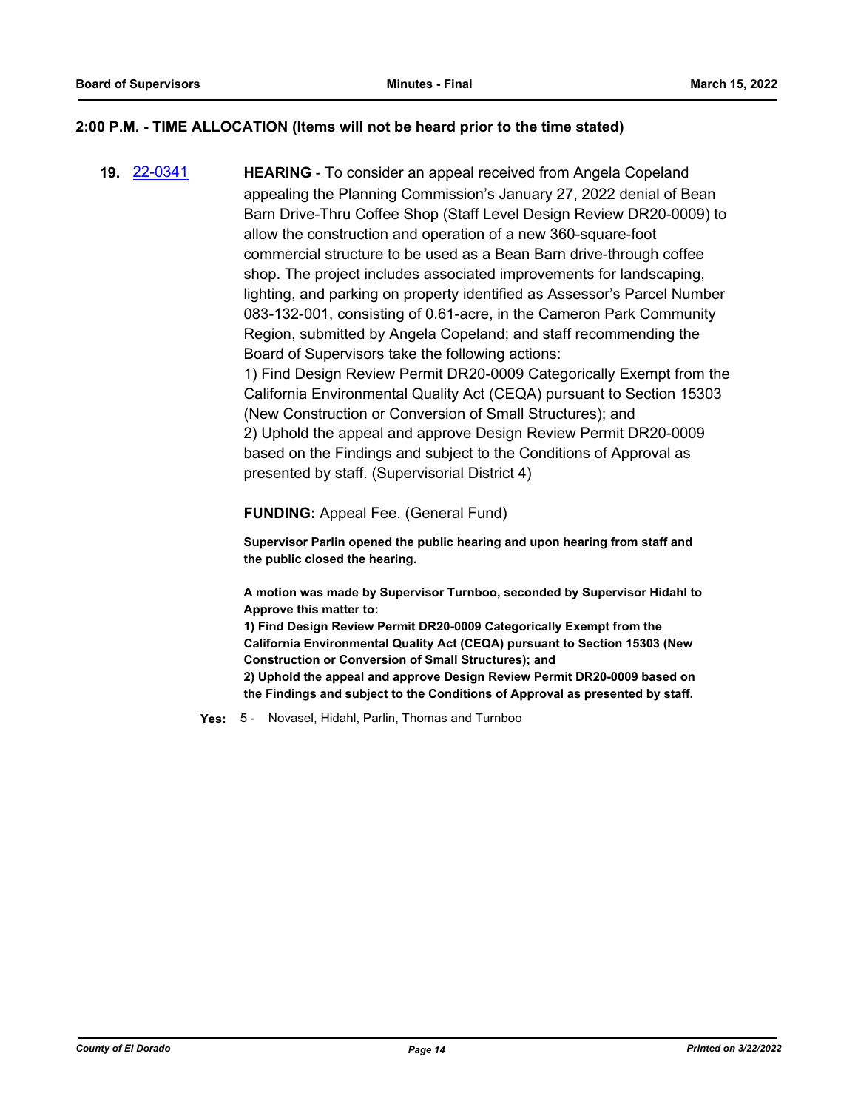#### **2:00 P.M. - TIME ALLOCATION (Items will not be heard prior to the time stated)**

**19.** [22-0341](http://eldorado.legistar.com/gateway.aspx?m=l&id=/matter.aspx?key=31242) **HEARING** - To consider an appeal received from Angela Copeland appealing the Planning Commission's January 27, 2022 denial of Bean Barn Drive-Thru Coffee Shop (Staff Level Design Review DR20-0009) to allow the construction and operation of a new 360-square-foot commercial structure to be used as a Bean Barn drive-through coffee shop. The project includes associated improvements for landscaping, lighting, and parking on property identified as Assessor's Parcel Number 083-132-001, consisting of 0.61-acre, in the Cameron Park Community Region, submitted by Angela Copeland; and staff recommending the Board of Supervisors take the following actions: 1) Find Design Review Permit DR20-0009 Categorically Exempt from the California Environmental Quality Act (CEQA) pursuant to Section 15303 (New Construction or Conversion of Small Structures); and 2) Uphold the appeal and approve Design Review Permit DR20-0009 based on the Findings and subject to the Conditions of Approval as presented by staff. (Supervisorial District 4)

**FUNDING:** Appeal Fee. (General Fund)

**Supervisor Parlin opened the public hearing and upon hearing from staff and the public closed the hearing.**

**A motion was made by Supervisor Turnboo, seconded by Supervisor Hidahl to Approve this matter to:**

**1) Find Design Review Permit DR20-0009 Categorically Exempt from the California Environmental Quality Act (CEQA) pursuant to Section 15303 (New Construction or Conversion of Small Structures); and 2) Uphold the appeal and approve Design Review Permit DR20-0009 based on the Findings and subject to the Conditions of Approval as presented by staff.**

**Yes:** 5 - Novasel, Hidahl, Parlin, Thomas and Turnboo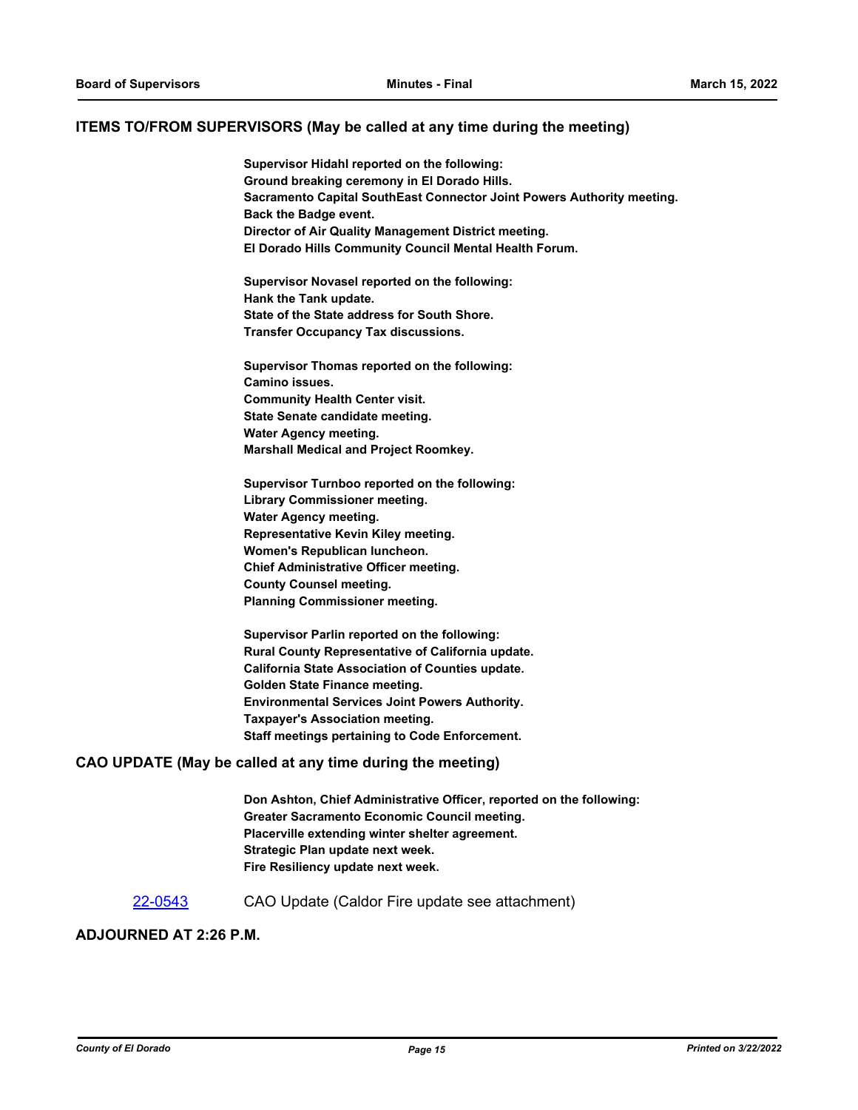#### **ITEMS TO/FROM SUPERVISORS (May be called at any time during the meeting)**

**Supervisor Hidahl reported on the following: Ground breaking ceremony in El Dorado Hills. Sacramento Capital SouthEast Connector Joint Powers Authority meeting. Back the Badge event. Director of Air Quality Management District meeting. El Dorado Hills Community Council Mental Health Forum.**

**Supervisor Novasel reported on the following: Hank the Tank update. State of the State address for South Shore. Transfer Occupancy Tax discussions.**

**Supervisor Thomas reported on the following: Camino issues. Community Health Center visit. State Senate candidate meeting. Water Agency meeting. Marshall Medical and Project Roomkey.**

**Supervisor Turnboo reported on the following: Library Commissioner meeting. Water Agency meeting. Representative Kevin Kiley meeting. Women's Republican luncheon. Chief Administrative Officer meeting. County Counsel meeting. Planning Commissioner meeting.**

**Supervisor Parlin reported on the following: Rural County Representative of California update. California State Association of Counties update. Golden State Finance meeting. Environmental Services Joint Powers Authority. Taxpayer's Association meeting. Staff meetings pertaining to Code Enforcement.**

#### **CAO UPDATE (May be called at any time during the meeting)**

**Don Ashton, Chief Administrative Officer, reported on the following: Greater Sacramento Economic Council meeting. Placerville extending winter shelter agreement. Strategic Plan update next week. Fire Resiliency update next week.**

[22-0543](http://eldorado.legistar.com/gateway.aspx?m=l&id=/matter.aspx?key=31444) CAO Update (Caldor Fire update see attachment)

#### **ADJOURNED AT 2:26 P.M.**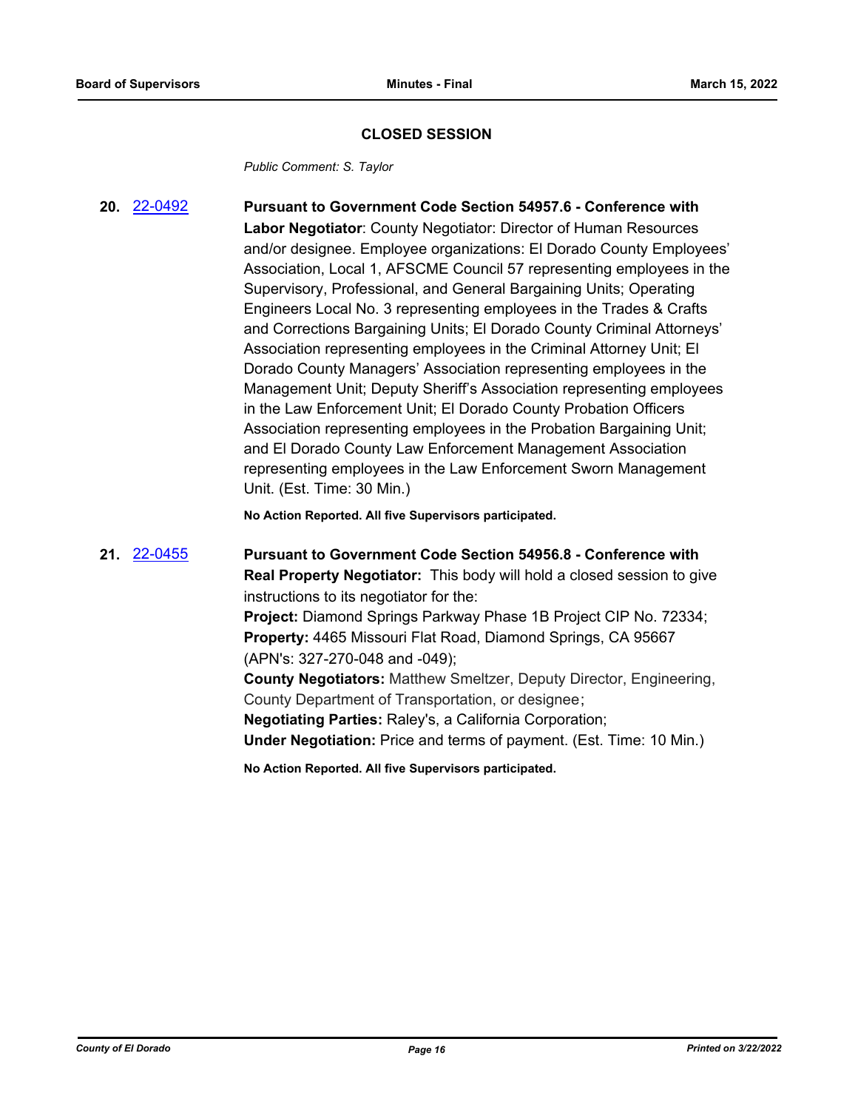#### **CLOSED SESSION**

*Public Comment: S. Taylor*

**20.** [22-0492](http://eldorado.legistar.com/gateway.aspx?m=l&id=/matter.aspx?key=31393) **Pursuant to Government Code Section 54957.6 - Conference with Labor Negotiator**: County Negotiator: Director of Human Resources and/or designee. Employee organizations: El Dorado County Employees' Association, Local 1, AFSCME Council 57 representing employees in the Supervisory, Professional, and General Bargaining Units; Operating Engineers Local No. 3 representing employees in the Trades & Crafts and Corrections Bargaining Units; El Dorado County Criminal Attorneys' Association representing employees in the Criminal Attorney Unit; El Dorado County Managers' Association representing employees in the Management Unit; Deputy Sheriff's Association representing employees in the Law Enforcement Unit; El Dorado County Probation Officers Association representing employees in the Probation Bargaining Unit; and El Dorado County Law Enforcement Management Association representing employees in the Law Enforcement Sworn Management Unit. (Est. Time: 30 Min.)

**No Action Reported. All five Supervisors participated.**

**21.** [22-0455](http://eldorado.legistar.com/gateway.aspx?m=l&id=/matter.aspx?key=31356) **Pursuant to Government Code Section 54956.8 - Conference with Real Property Negotiator:** This body will hold a closed session to give instructions to its negotiator for the: **Project:** Diamond Springs Parkway Phase 1B Project CIP No. 72334; **Property:** 4465 Missouri Flat Road, Diamond Springs, CA 95667 (APN's: 327-270-048 and -049); **County Negotiators:** Matthew Smeltzer, Deputy Director, Engineering, County Department of Transportation, or designee; **Negotiating Parties:** Raley's, a California Corporation;

**Under Negotiation:** Price and terms of payment. (Est. Time: 10 Min.)

**No Action Reported. All five Supervisors participated.**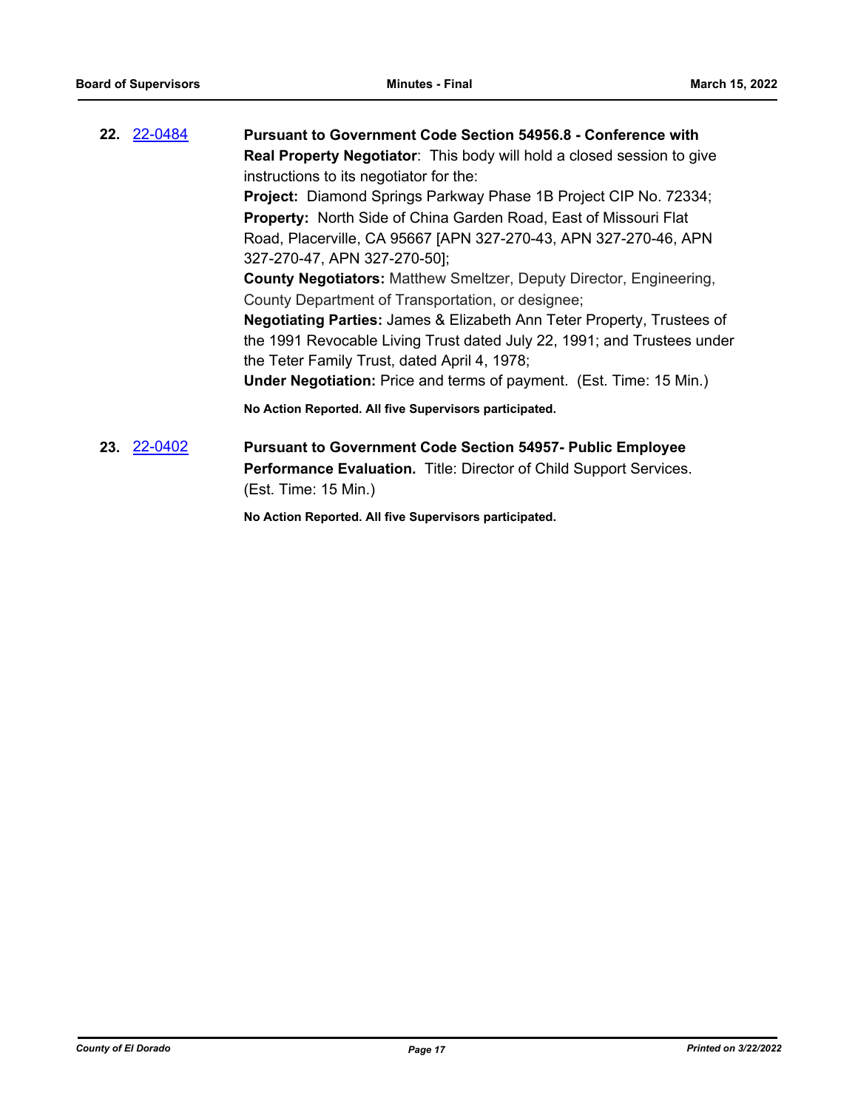| 22. 22-0484 | <b>Pursuant to Government Code Section 54956.8 - Conference with</b>                                                                               |  |  |
|-------------|----------------------------------------------------------------------------------------------------------------------------------------------------|--|--|
|             | <b>Real Property Negotiator:</b> This body will hold a closed session to give                                                                      |  |  |
|             | instructions to its negotiator for the:                                                                                                            |  |  |
|             | <b>Project:</b> Diamond Springs Parkway Phase 1B Project CIP No. 72334;<br><b>Property:</b> North Side of China Garden Road, East of Missouri Flat |  |  |
|             |                                                                                                                                                    |  |  |
|             | 327-270-47, APN 327-270-50];                                                                                                                       |  |  |
|             | <b>County Negotiators:</b> Matthew Smeltzer, Deputy Director, Engineering,                                                                         |  |  |
|             | County Department of Transportation, or designee;                                                                                                  |  |  |
|             | <b>Negotiating Parties:</b> James & Elizabeth Ann Teter Property, Trustees of                                                                      |  |  |
|             | the 1991 Revocable Living Trust dated July 22, 1991; and Trustees under                                                                            |  |  |
|             | the Teter Family Trust, dated April 4, 1978;                                                                                                       |  |  |
|             | <b>Under Negotiation:</b> Price and terms of payment. (Est. Time: 15 Min.)                                                                         |  |  |
|             | No Action Reported. All five Supervisors participated.                                                                                             |  |  |
| 23. 22-0402 | <b>Pursuant to Government Code Section 54957- Public Employee</b>                                                                                  |  |  |
|             | Performance Evaluation. Title: Director of Child Support Services.                                                                                 |  |  |
|             | (Est. Time: 15 Min.)                                                                                                                               |  |  |

**No Action Reported. All five Supervisors participated.**